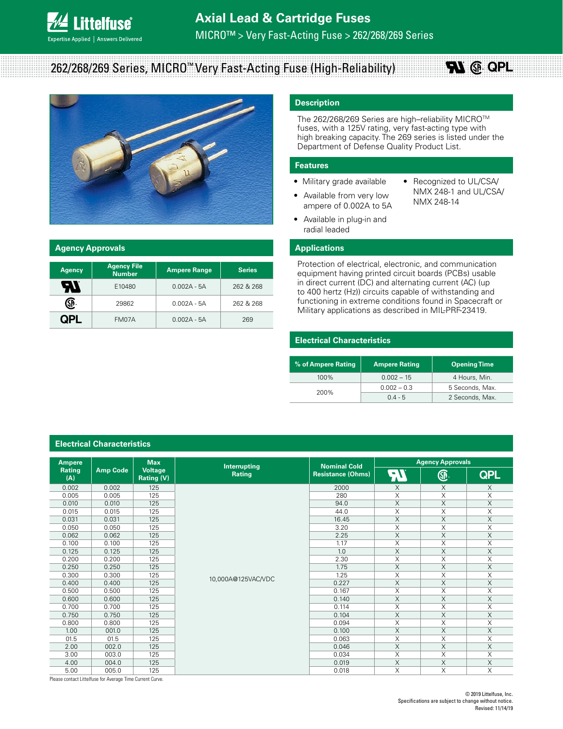

# 262/268/269 Series, MICRO™ Very Fast-Acting Fuse (High-Reliability)



#### **Agency Approvals**

| <b>Agency</b> | <b>Agency File</b><br><b>Number</b> | <b>Ampere Range</b> | <b>Series</b> |
|---------------|-------------------------------------|---------------------|---------------|
| ЯI            | E10480                              | $0.002A - 5A$       | 262 & 268     |
| GP.           | 29862                               | $0.002A - 5A$       | 262 & 268     |
|               | FM07A                               | $0.002A - 5A$       | 269           |

## **Description**

The 262/268/269 Series are high–reliability MICRO™ fuses, with a 125V rating, very fast-acting type with high breaking capacity. The 269 series is listed under the Department of Defense Quality Product List.

#### **Features**

- Military grade available • Available from very low
- Recognized to UL/CSA/ NMX 248-1 and UL/CSA/ NMX 248-14

**RL** @ QPL

• Available in plug-in and radial leaded

ampere of 0.002A to 5A

### **Applications**

Protection of electrical, electronic, and communication equipment having printed circuit boards (PCBs) usable in direct current (DC) and alternating current (AC) (up to 400 hertz (Hz)) circuits capable of withstanding and functioning in extreme conditions found in Spacecraft or Military applications as described in MIL-PRF-23419.

### **Electrical Characteristics**

| % of Ampere Rating | <b>Ampere Rating</b> | <b>Opening Time</b> |
|--------------------|----------------------|---------------------|
| $100\%$            | $0.002 - 15$         | 4 Hours, Min.       |
| 200%               | $0.002 - 0.3$        | 5 Seconds, Max.     |
|                    | $0.4 - 5$            | 2 Seconds, Max.     |

| <b>Ampere</b> |                 | <b>Max</b>            | Interrupting       | <b>Nominal Cold</b>      | <b>Agency Approvals</b> |                         |                         |
|---------------|-----------------|-----------------------|--------------------|--------------------------|-------------------------|-------------------------|-------------------------|
| Rating<br>(A) | <b>Amp Code</b> | Voltage<br>Rating (V) | Rating             | <b>Resistance (Ohms)</b> | 7V                      | G.                      | <b>QPL</b>              |
| 0.002         | 0.002           | 125                   |                    | 2000                     | $\times$                | X                       | X                       |
| 0.005         | 0.005           | 125                   |                    | 280                      | X                       | X                       | X                       |
| 0.010         | 0.010           | 125                   |                    | 94.0                     | $\times$                | X                       | X                       |
| 0.015         | 0.015           | 125                   |                    | 44.0                     | X                       | X                       | Χ                       |
| 0.031         | 0.031           | 125                   |                    | 16.45                    | $\times$                | X                       | X                       |
| 0.050         | 0.050           | 125                   |                    | 3.20                     | X                       | X                       | X                       |
| 0.062         | 0.062           | 125                   |                    | 2.25                     | X                       | X                       | Χ                       |
| 0.100         | 0.100           | 125                   |                    | 1.17                     | X                       | X                       | X                       |
| 0.125         | 0.125           | 125                   |                    | 1.0                      | $\mathsf X$             | X                       | X                       |
| 0.200         | 0.200           | 125                   |                    | 2.30                     | X                       | X                       | X                       |
| 0.250         | 0.250           | 125                   |                    | 1.75                     | X                       | X                       | X                       |
| 0.300         | 0.300           | 125                   | 10,000A@125VAC/VDC | 1.25                     | X                       | X                       | Χ                       |
| 0.400         | 0.400           | 125                   |                    | 0.227                    | X                       | X                       | $\times$                |
| 0.500         | 0.500           | 125                   |                    | 0.167                    | X                       | X                       | X                       |
| 0.600         | 0.600           | 125                   |                    | 0.140                    | $\times$                | $\overline{X}$          | $\overline{X}$          |
| 0.700         | 0.700           | 125                   |                    | 0.114                    | X                       | X                       | X                       |
| 0.750         | 0.750           | 125                   |                    | 0.104                    | $\overline{X}$          | $\overline{\mathsf{X}}$ | X                       |
| 0.800         | 0.800           | 125                   |                    | 0.094                    | X                       | X                       | X                       |
| 1.00          | 001.0           | 125                   |                    | 0.100                    | $\overline{X}$          | $\overline{X}$          | $\overline{X}$          |
| 01.5          | 01.5            | 125                   |                    | 0.063                    | $\overline{\mathsf{x}}$ | $\overline{X}$          | $\overline{\mathsf{x}}$ |
| 2.00          | 002.0           | 125                   |                    | 0.046                    | $\overline{X}$          | X                       | X                       |
| 3.00          | 003.0           | 125                   |                    | 0.034                    | X                       | Χ                       | Χ                       |
| 4.00          | 004.0           | 125                   |                    | 0.019                    | X                       | X                       | X                       |
| 5.00          | 005.0           | 125                   |                    | 0.018                    | Χ                       | Χ                       | Χ                       |

Please contact Littelfuse for Average Time Current Curve.

**Electrical Characteristics**

#### © 2019 Littelfuse, Inc. Specifications are subject to change without notice. Revised: 11/14/19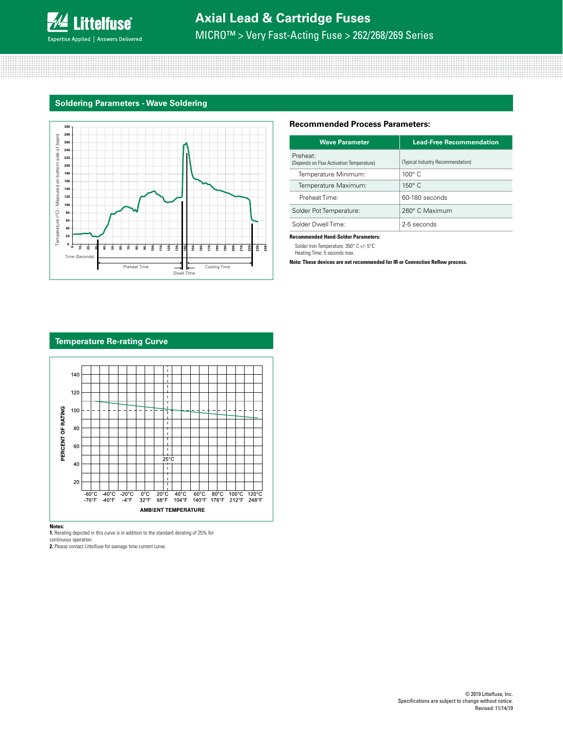

# **Axial Lead & Cartridge Fuses**

MICRO™ > Very Fast-Acting Fuse > 262/268/269 Series

### **Soldering Parameters - Wave Soldering**



#### **Recommended Process Parameters:**

| <b>Wave Parameter</b>                                | <b>Lead-Free Recommendation</b>   |  |  |
|------------------------------------------------------|-----------------------------------|--|--|
| Preheat:<br>(Depends on Flux Activation Temperature) | (Typical Industry Recommendation) |  |  |
| Temperature Minimum:                                 | $100^\circ$ C                     |  |  |
| Temperature Maximum:                                 | $150^\circ$ C                     |  |  |
| Preheat Time:                                        | 60-180 seconds                    |  |  |
| Solder Pot Temperature:                              | 260° C Maximum                    |  |  |
| Solder Dwell Time:                                   | 2-5 seconds                       |  |  |

#### **Recommended Hand-Solder Parameters:**

Solder Iron Temperature: 350° C +/- 5°C Heating Time: 5 seconds max.

**Note: These devices are not recommended for IR or Convection Reflow process.**

### **Temperature Re-rating Curve**



**Notes: 1.** Rerating depicted in this curve is in addition to the standard derating of 25% for

continuous operation.

**2.** Please contact Littelfuse for average time current curve.